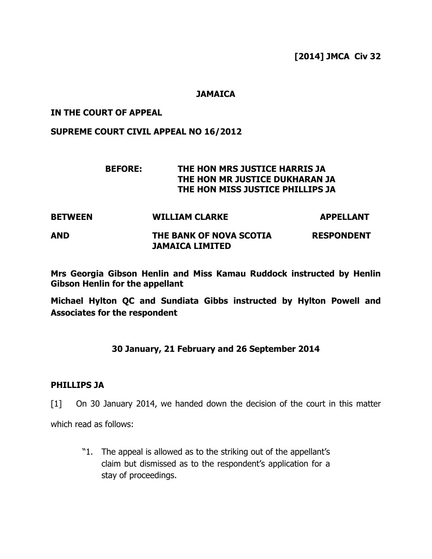**[2014] JMCA Civ 32** 

### **JAMAICA**

#### **IN THE COURT OF APPEAL**

**SUPREME COURT CIVIL APPEAL NO 16/2012** 

# **BEFORE: THE HON MRS JUSTICE HARRIS JA THE HON MR JUSTICE DUKHARAN JA THE HON MISS JUSTICE PHILLIPS JA**

| <b>BETWEEN</b> | <b>WILLIAM CLARKE</b>                             | <b>APPELLANT</b>  |
|----------------|---------------------------------------------------|-------------------|
| AND            | THE BANK OF NOVA SCOTIA<br><b>JAMAICA LIMITED</b> | <b>RESPONDENT</b> |

**Mrs Georgia Gibson Henlin and Miss Kamau Ruddock instructed by Henlin Gibson Henlin for the appellant** 

**Michael Hylton QC and Sundiata Gibbs instructed by Hylton Powell and Associates for the respondent** 

# **30 January, 21 February and 26 September 2014**

#### **PHILLIPS JA**

[1] On 30 January 2014, we handed down the decision of the court in this matter

which read as follows:

"1. The appeal is allowed as to the striking out of the appellant's claim but dismissed as to the respondent's application for a stay of proceedings.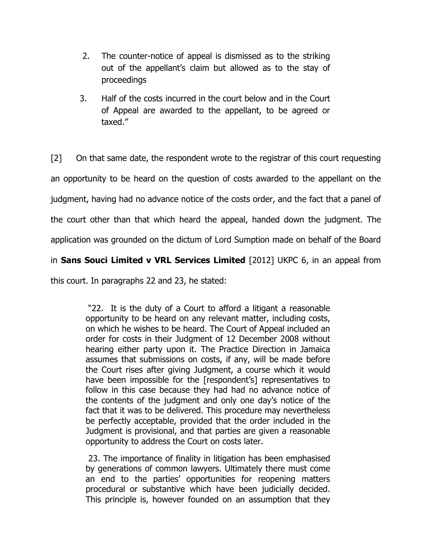- 2. The counter-notice of appeal is dismissed as to the striking out of the appellant's claim but allowed as to the stay of proceedings
- 3. Half of the costs incurred in the court below and in the Court of Appeal are awarded to the appellant, to be agreed or taxed."

[2] On that same date, the respondent wrote to the registrar of this court requesting an opportunity to be heard on the question of costs awarded to the appellant on the judgment, having had no advance notice of the costs order, and the fact that a panel of the court other than that which heard the appeal, handed down the judgment. The application was grounded on the dictum of Lord Sumption made on behalf of the Board in **Sans Souci Limited v VRL Services Limited** [2012] UKPC 6, in an appeal from

this court. In paragraphs 22 and 23, he stated:

 "22. It is the duty of a Court to afford a litigant a reasonable opportunity to be heard on any relevant matter, including costs, on which he wishes to be heard. The Court of Appeal included an order for costs in their Judgment of 12 December 2008 without hearing either party upon it. The Practice Direction in Jamaica assumes that submissions on costs, if any, will be made before the Court rises after giving Judgment, a course which it would have been impossible for the [respondent's] representatives to follow in this case because they had had no advance notice of the contents of the judgment and only one day's notice of the fact that it was to be delivered. This procedure may nevertheless be perfectly acceptable, provided that the order included in the Judgment is provisional, and that parties are given a reasonable opportunity to address the Court on costs later.

 23. The importance of finality in litigation has been emphasised by generations of common lawyers. Ultimately there must come an end to the parties' opportunities for reopening matters procedural or substantive which have been judicially decided. This principle is, however founded on an assumption that they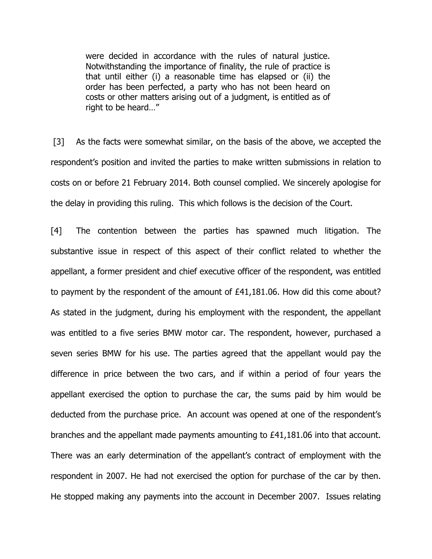were decided in accordance with the rules of natural justice. Notwithstanding the importance of finality, the rule of practice is that until either (i) a reasonable time has elapsed or (ii) the order has been perfected, a party who has not been heard on costs or other matters arising out of a judgment, is entitled as of right to be heard…"

[3] As the facts were somewhat similar, on the basis of the above, we accepted the respondent's position and invited the parties to make written submissions in relation to costs on or before 21 February 2014. Both counsel complied. We sincerely apologise for the delay in providing this ruling. This which follows is the decision of the Court.

[4] The contention between the parties has spawned much litigation. The substantive issue in respect of this aspect of their conflict related to whether the appellant, a former president and chief executive officer of the respondent, was entitled to payment by the respondent of the amount of £41,181.06. How did this come about? As stated in the judgment, during his employment with the respondent, the appellant was entitled to a five series BMW motor car. The respondent, however, purchased a seven series BMW for his use. The parties agreed that the appellant would pay the difference in price between the two cars, and if within a period of four years the appellant exercised the option to purchase the car, the sums paid by him would be deducted from the purchase price. An account was opened at one of the respondent's branches and the appellant made payments amounting to £41,181.06 into that account. There was an early determination of the appellant's contract of employment with the respondent in 2007. He had not exercised the option for purchase of the car by then. He stopped making any payments into the account in December 2007. Issues relating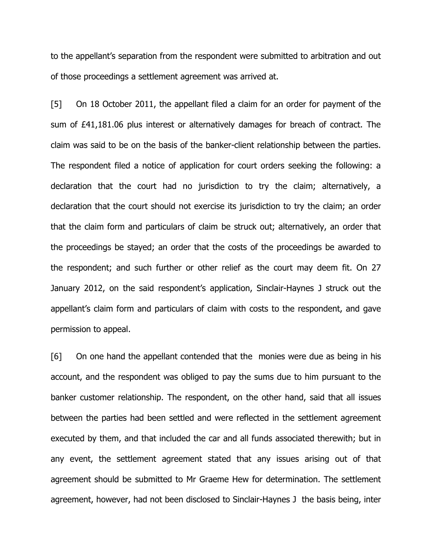to the appellant's separation from the respondent were submitted to arbitration and out of those proceedings a settlement agreement was arrived at.

[5] On 18 October 2011, the appellant filed a claim for an order for payment of the sum of £41,181.06 plus interest or alternatively damages for breach of contract. The claim was said to be on the basis of the banker-client relationship between the parties. The respondent filed a notice of application for court orders seeking the following: a declaration that the court had no jurisdiction to try the claim; alternatively, a declaration that the court should not exercise its jurisdiction to try the claim; an order that the claim form and particulars of claim be struck out; alternatively, an order that the proceedings be stayed; an order that the costs of the proceedings be awarded to the respondent; and such further or other relief as the court may deem fit. On 27 January 2012, on the said respondent's application, Sinclair-Haynes J struck out the appellant's claim form and particulars of claim with costs to the respondent, and gave permission to appeal.

[6] On one hand the appellant contended that the monies were due as being in his account, and the respondent was obliged to pay the sums due to him pursuant to the banker customer relationship. The respondent, on the other hand, said that all issues between the parties had been settled and were reflected in the settlement agreement executed by them, and that included the car and all funds associated therewith; but in any event, the settlement agreement stated that any issues arising out of that agreement should be submitted to Mr Graeme Hew for determination. The settlement agreement, however, had not been disclosed to Sinclair-Haynes J the basis being, inter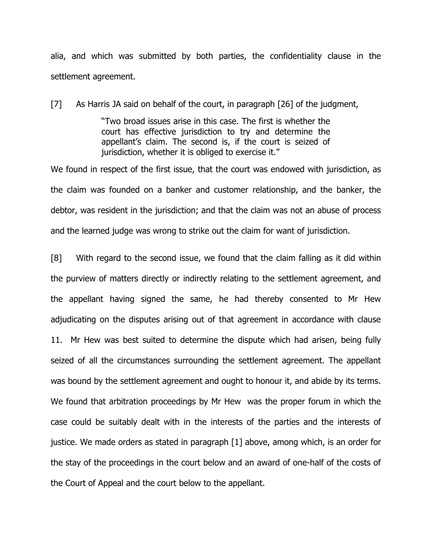alia, and which was submitted by both parties, the confidentiality clause in the settlement agreement.

[7] As Harris JA said on behalf of the court, in paragraph [26] of the judgment,

"Two broad issues arise in this case. The first is whether the court has effective jurisdiction to try and determine the appellant's claim. The second is, if the court is seized of jurisdiction, whether it is obliged to exercise it."

We found in respect of the first issue, that the court was endowed with jurisdiction, as the claim was founded on a banker and customer relationship, and the banker, the debtor, was resident in the jurisdiction; and that the claim was not an abuse of process and the learned judge was wrong to strike out the claim for want of jurisdiction.

[8] With regard to the second issue, we found that the claim falling as it did within the purview of matters directly or indirectly relating to the settlement agreement, and the appellant having signed the same, he had thereby consented to Mr Hew adjudicating on the disputes arising out of that agreement in accordance with clause 11. Mr Hew was best suited to determine the dispute which had arisen, being fully seized of all the circumstances surrounding the settlement agreement. The appellant was bound by the settlement agreement and ought to honour it, and abide by its terms. We found that arbitration proceedings by Mr Hew was the proper forum in which the case could be suitably dealt with in the interests of the parties and the interests of justice. We made orders as stated in paragraph [1] above, among which, is an order for the stay of the proceedings in the court below and an award of one-half of the costs of the Court of Appeal and the court below to the appellant.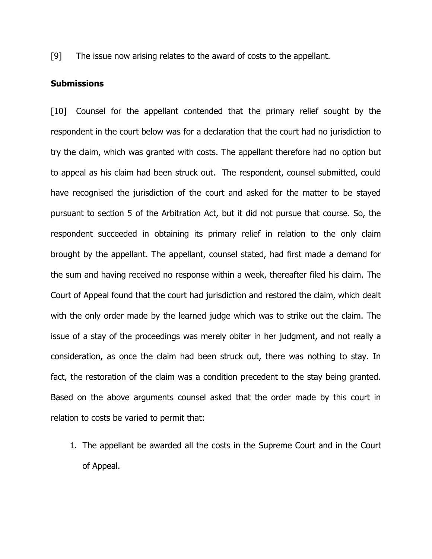[9] The issue now arising relates to the award of costs to the appellant.

### **Submissions**

[10] Counsel for the appellant contended that the primary relief sought by the respondent in the court below was for a declaration that the court had no jurisdiction to try the claim, which was granted with costs. The appellant therefore had no option but to appeal as his claim had been struck out. The respondent, counsel submitted, could have recognised the jurisdiction of the court and asked for the matter to be stayed pursuant to section 5 of the Arbitration Act, but it did not pursue that course. So, the respondent succeeded in obtaining its primary relief in relation to the only claim brought by the appellant. The appellant, counsel stated, had first made a demand for the sum and having received no response within a week, thereafter filed his claim. The Court of Appeal found that the court had jurisdiction and restored the claim, which dealt with the only order made by the learned judge which was to strike out the claim. The issue of a stay of the proceedings was merely obiter in her judgment, and not really a consideration, as once the claim had been struck out, there was nothing to stay. In fact, the restoration of the claim was a condition precedent to the stay being granted. Based on the above arguments counsel asked that the order made by this court in relation to costs be varied to permit that:

1. The appellant be awarded all the costs in the Supreme Court and in the Court of Appeal.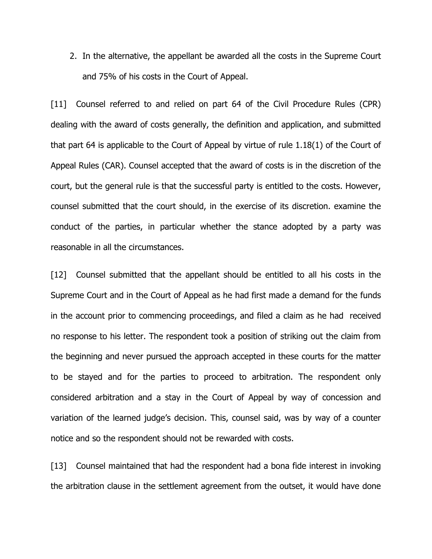2. In the alternative, the appellant be awarded all the costs in the Supreme Court and 75% of his costs in the Court of Appeal.

[11] Counsel referred to and relied on part 64 of the Civil Procedure Rules (CPR) dealing with the award of costs generally, the definition and application, and submitted that part 64 is applicable to the Court of Appeal by virtue of rule 1.18(1) of the Court of Appeal Rules (CAR). Counsel accepted that the award of costs is in the discretion of the court, but the general rule is that the successful party is entitled to the costs. However, counsel submitted that the court should, in the exercise of its discretion. examine the conduct of the parties, in particular whether the stance adopted by a party was reasonable in all the circumstances.

[12] Counsel submitted that the appellant should be entitled to all his costs in the Supreme Court and in the Court of Appeal as he had first made a demand for the funds in the account prior to commencing proceedings, and filed a claim as he had received no response to his letter. The respondent took a position of striking out the claim from the beginning and never pursued the approach accepted in these courts for the matter to be stayed and for the parties to proceed to arbitration. The respondent only considered arbitration and a stay in the Court of Appeal by way of concession and variation of the learned judge's decision. This, counsel said, was by way of a counter notice and so the respondent should not be rewarded with costs.

[13] Counsel maintained that had the respondent had a bona fide interest in invoking the arbitration clause in the settlement agreement from the outset, it would have done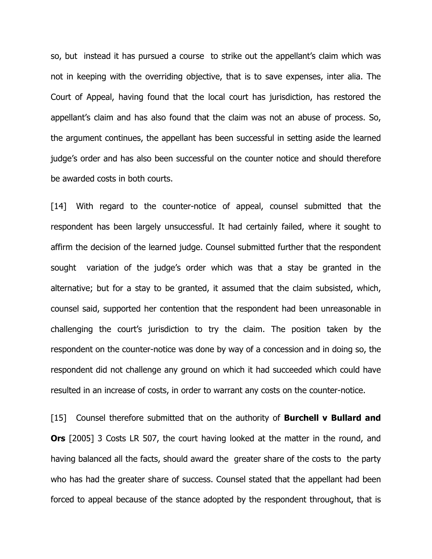so, but instead it has pursued a course to strike out the appellant's claim which was not in keeping with the overriding objective, that is to save expenses, inter alia. The Court of Appeal, having found that the local court has jurisdiction, has restored the appellant's claim and has also found that the claim was not an abuse of process. So, the argument continues, the appellant has been successful in setting aside the learned judge's order and has also been successful on the counter notice and should therefore be awarded costs in both courts.

[14] With regard to the counter-notice of appeal, counsel submitted that the respondent has been largely unsuccessful. It had certainly failed, where it sought to affirm the decision of the learned judge. Counsel submitted further that the respondent sought variation of the judge's order which was that a stay be granted in the alternative; but for a stay to be granted, it assumed that the claim subsisted, which, counsel said, supported her contention that the respondent had been unreasonable in challenging the court's jurisdiction to try the claim. The position taken by the respondent on the counter-notice was done by way of a concession and in doing so, the respondent did not challenge any ground on which it had succeeded which could have resulted in an increase of costs, in order to warrant any costs on the counter-notice.

[15] Counsel therefore submitted that on the authority of **Burchell v Bullard and Ors** [2005] 3 Costs LR 507, the court having looked at the matter in the round, and having balanced all the facts, should award the greater share of the costs to the party who has had the greater share of success. Counsel stated that the appellant had been forced to appeal because of the stance adopted by the respondent throughout, that is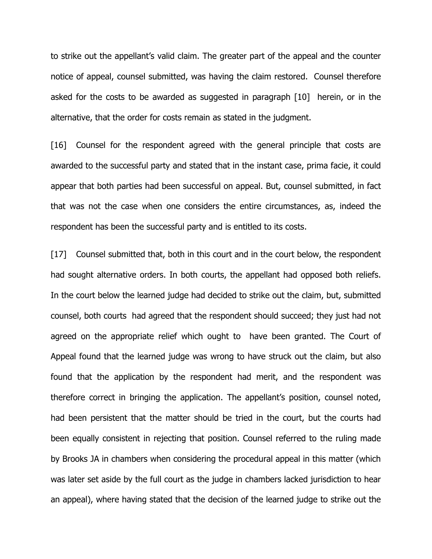to strike out the appellant's valid claim. The greater part of the appeal and the counter notice of appeal, counsel submitted, was having the claim restored. Counsel therefore asked for the costs to be awarded as suggested in paragraph [10] herein, or in the alternative, that the order for costs remain as stated in the judgment.

[16] Counsel for the respondent agreed with the general principle that costs are awarded to the successful party and stated that in the instant case, prima facie, it could appear that both parties had been successful on appeal. But, counsel submitted, in fact that was not the case when one considers the entire circumstances, as, indeed the respondent has been the successful party and is entitled to its costs.

[17] Counsel submitted that, both in this court and in the court below, the respondent had sought alternative orders. In both courts, the appellant had opposed both reliefs. In the court below the learned judge had decided to strike out the claim, but, submitted counsel, both courts had agreed that the respondent should succeed; they just had not agreed on the appropriate relief which ought to have been granted. The Court of Appeal found that the learned judge was wrong to have struck out the claim, but also found that the application by the respondent had merit, and the respondent was therefore correct in bringing the application. The appellant's position, counsel noted, had been persistent that the matter should be tried in the court, but the courts had been equally consistent in rejecting that position. Counsel referred to the ruling made by Brooks JA in chambers when considering the procedural appeal in this matter (which was later set aside by the full court as the judge in chambers lacked jurisdiction to hear an appeal), where having stated that the decision of the learned judge to strike out the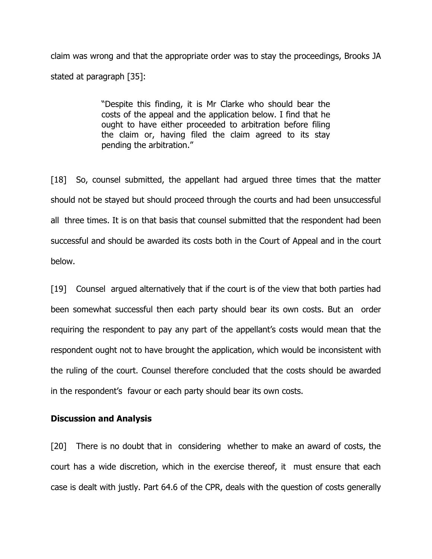claim was wrong and that the appropriate order was to stay the proceedings, Brooks JA stated at paragraph [35]:

> "Despite this finding, it is Mr Clarke who should bear the costs of the appeal and the application below. I find that he ought to have either proceeded to arbitration before filing the claim or, having filed the claim agreed to its stay pending the arbitration."

[18] So, counsel submitted, the appellant had argued three times that the matter should not be stayed but should proceed through the courts and had been unsuccessful all three times. It is on that basis that counsel submitted that the respondent had been successful and should be awarded its costs both in the Court of Appeal and in the court below.

[19] Counsel argued alternatively that if the court is of the view that both parties had been somewhat successful then each party should bear its own costs. But an order requiring the respondent to pay any part of the appellant's costs would mean that the respondent ought not to have brought the application, which would be inconsistent with the ruling of the court. Counsel therefore concluded that the costs should be awarded in the respondent's favour or each party should bear its own costs.

# **Discussion and Analysis**

[20] There is no doubt that in considering whether to make an award of costs, the court has a wide discretion, which in the exercise thereof, it must ensure that each case is dealt with justly. Part 64.6 of the CPR, deals with the question of costs generally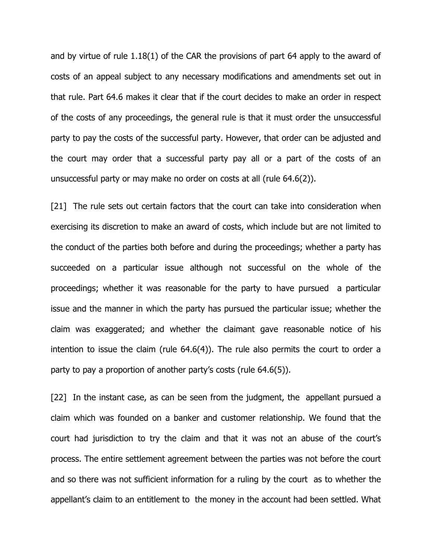and by virtue of rule 1.18(1) of the CAR the provisions of part 64 apply to the award of costs of an appeal subject to any necessary modifications and amendments set out in that rule. Part 64.6 makes it clear that if the court decides to make an order in respect of the costs of any proceedings, the general rule is that it must order the unsuccessful party to pay the costs of the successful party. However, that order can be adjusted and the court may order that a successful party pay all or a part of the costs of an unsuccessful party or may make no order on costs at all (rule 64.6(2)).

[21] The rule sets out certain factors that the court can take into consideration when exercising its discretion to make an award of costs, which include but are not limited to the conduct of the parties both before and during the proceedings; whether a party has succeeded on a particular issue although not successful on the whole of the proceedings; whether it was reasonable for the party to have pursued a particular issue and the manner in which the party has pursued the particular issue; whether the claim was exaggerated; and whether the claimant gave reasonable notice of his intention to issue the claim (rule 64.6(4)). The rule also permits the court to order a party to pay a proportion of another party's costs (rule 64.6(5)).

[22] In the instant case, as can be seen from the judgment, the appellant pursued a claim which was founded on a banker and customer relationship. We found that the court had jurisdiction to try the claim and that it was not an abuse of the court's process. The entire settlement agreement between the parties was not before the court and so there was not sufficient information for a ruling by the court as to whether the appellant's claim to an entitlement to the money in the account had been settled. What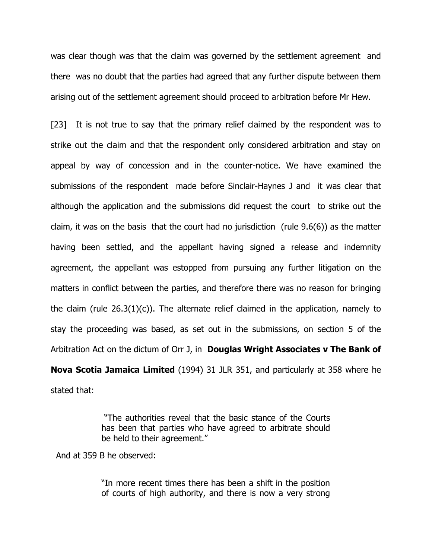was clear though was that the claim was governed by the settlement agreement and there was no doubt that the parties had agreed that any further dispute between them arising out of the settlement agreement should proceed to arbitration before Mr Hew.

[23] It is not true to say that the primary relief claimed by the respondent was to strike out the claim and that the respondent only considered arbitration and stay on appeal by way of concession and in the counter-notice. We have examined the submissions of the respondent made before Sinclair-Haynes J and it was clear that although the application and the submissions did request the court to strike out the claim, it was on the basis that the court had no jurisdiction (rule 9.6(6)) as the matter having been settled, and the appellant having signed a release and indemnity agreement, the appellant was estopped from pursuing any further litigation on the matters in conflict between the parties, and therefore there was no reason for bringing the claim (rule  $26.3(1)(c)$ ). The alternate relief claimed in the application, namely to stay the proceeding was based, as set out in the submissions, on section 5 of the Arbitration Act on the dictum of Orr J, in **Douglas Wright Associates v The Bank of Nova Scotia Jamaica Limited** (1994) 31 JLR 351, and particularly at 358 where he stated that:

> "The authorities reveal that the basic stance of the Courts has been that parties who have agreed to arbitrate should be held to their agreement."

And at 359 B he observed:

"In more recent times there has been a shift in the position of courts of high authority, and there is now a very strong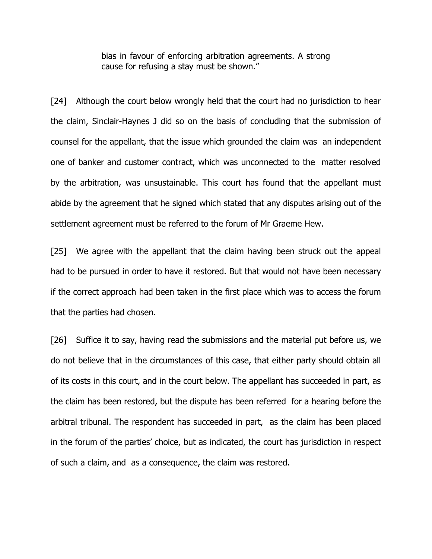bias in favour of enforcing arbitration agreements. A strong cause for refusing a stay must be shown."

[24] Although the court below wrongly held that the court had no jurisdiction to hear the claim, Sinclair-Haynes J did so on the basis of concluding that the submission of counsel for the appellant, that the issue which grounded the claim was an independent one of banker and customer contract, which was unconnected to the matter resolved by the arbitration, was unsustainable. This court has found that the appellant must abide by the agreement that he signed which stated that any disputes arising out of the settlement agreement must be referred to the forum of Mr Graeme Hew.

[25] We agree with the appellant that the claim having been struck out the appeal had to be pursued in order to have it restored. But that would not have been necessary if the correct approach had been taken in the first place which was to access the forum that the parties had chosen.

[26] Suffice it to say, having read the submissions and the material put before us, we do not believe that in the circumstances of this case, that either party should obtain all of its costs in this court, and in the court below. The appellant has succeeded in part, as the claim has been restored, but the dispute has been referred for a hearing before the arbitral tribunal. The respondent has succeeded in part, as the claim has been placed in the forum of the parties' choice, but as indicated, the court has jurisdiction in respect of such a claim, and as a consequence, the claim was restored.